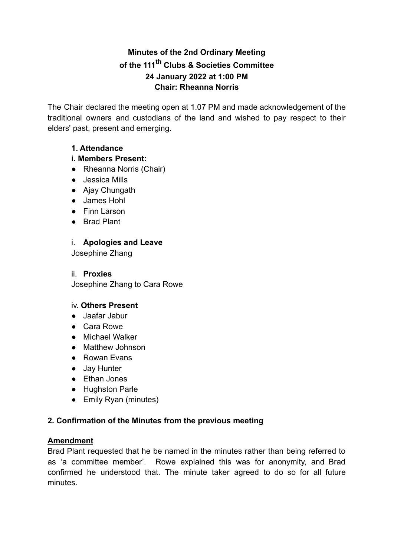# Minutes of the 2nd Ordinary Meeting of the 111<sup>th</sup> Clubs & Societies Committee 24 January 2022 at 1:00 PM **Chair: Rheanna Norris**

The Chair declared the meeting open at 1.07 PM and made acknowledgement of the traditional owners and custodians of the land and wished to pay respect to their elders' past, present and emerging.

# 1. Attendance

# i. Members Present:

- Rheanna Norris (Chair)
- Jessica Mills
- Ajay Chungath
- James Hohl
- Finn Larson
- Brad Plant

# i. Apologies and Leave

Josephine Zhang

### ii Proxies

Josephine Zhang to Cara Rowe

### iv. Others Present

- Jaafar Jabur
- Cara Rowe
- Michael Walker
- Matthew Johnson
- Rowan Evans
- Jay Hunter
- Ethan Jones
- Hughston Parle
- Emily Ryan (minutes)

### 2. Confirmation of the Minutes from the previous meeting

### **Amendment**

Brad Plant requested that he be named in the minutes rather than being referred to as 'a committee member'. Rowe explained this was for anonymity, and Brad confirmed he understood that. The minute taker agreed to do so for all future minutes.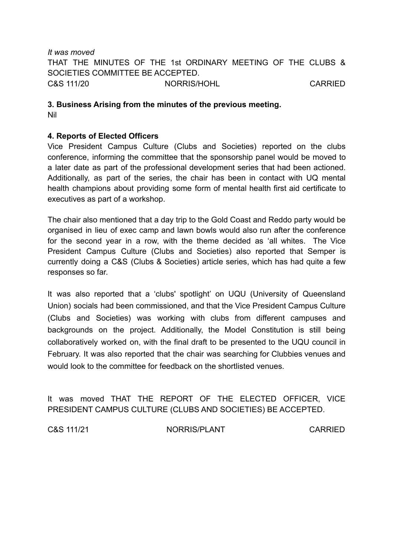It was moved THAT THE MINUTES OF THE 1st ORDINARY MEETING OF THE CLUBS & SOCIETIES COMMITTEE BE ACCEPTED. C&S 111/20 NORRIS/HOHL **CARRIED** 

#### 3. Business Arising from the minutes of the previous meeting. **Nil**

### 4. Reports of Elected Officers

Vice President Campus Culture (Clubs and Societies) reported on the clubs conference, informing the committee that the sponsorship panel would be moved to a later date as part of the professional development series that had been actioned. Additionally, as part of the series, the chair has been in contact with UQ mental health champions about providing some form of mental health first aid certificate to executives as part of a workshop.

The chair also mentioned that a day trip to the Gold Coast and Reddo party would be organised in lieu of exec camp and lawn bowls would also run after the conference for the second year in a row, with the theme decided as 'all whites. The Vice President Campus Culture (Clubs and Societies) also reported that Semper is currently doing a C&S (Clubs & Societies) article series, which has had quite a few responses so far.

It was also reported that a 'clubs' spotlight' on UQU (University of Queensland Union) socials had been commissioned, and that the Vice President Campus Culture (Clubs and Societies) was working with clubs from different campuses and backgrounds on the project. Additionally, the Model Constitution is still being collaboratively worked on, with the final draft to be presented to the UQU council in February. It was also reported that the chair was searching for Clubbies venues and would look to the committee for feedback on the shortlisted venues

It was moved THAT THE REPORT OF THE ELECTED OFFICER. VICE PRESIDENT CAMPUS CULTURE (CLUBS AND SOCIETIES) BE ACCEPTED.

C&S 111/21

NORRIS/PLANT

**CARRIED**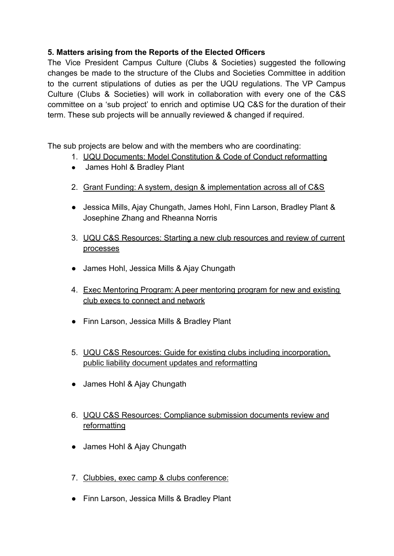# 5. Matters arising from the Reports of the Elected Officers

The Vice President Campus Culture (Clubs & Societies) suggested the following changes be made to the structure of the Clubs and Societies Committee in addition to the current stipulations of duties as per the UQU regulations. The VP Campus Culture (Clubs & Societies) will work in collaboration with every one of the C&S committee on a 'sub project' to enrich and optimise UQ C&S for the duration of their term. These sub projects will be annually reviewed & changed if required.

The sub projects are below and with the members who are coordinating:

- 1. UQU Documents: Model Constitution & Code of Conduct reformatting
- James Hohl & Bradley Plant
- 2. Grant Funding: A system, design & implementation across all of C&S
- Jessica Mills, Aiay Chungath, James Hohl, Finn Larson, Bradley Plant & Josephine Zhang and Rheanna Norris
- 3. UQU C&S Resources: Starting a new club resources and review of current processes
- James Hohl, Jessica Mills & Ajay Chungath
- 4. Exec Mentoring Program: A peer mentoring program for new and existing club execs to connect and network
- Finn Larson, Jessica Mills & Bradley Plant
- 5. UQU C&S Resources: Guide for existing clubs including incorporation. public liability document updates and reformatting
- James Hohl & Ajay Chungath
- 6. UQU C&S Resources: Compliance submission documents review and reformatting
- James Hohl & Ajay Chungath
- 7. Clubbies, exec camp & clubs conference:
- Finn Larson, Jessica Mills & Bradley Plant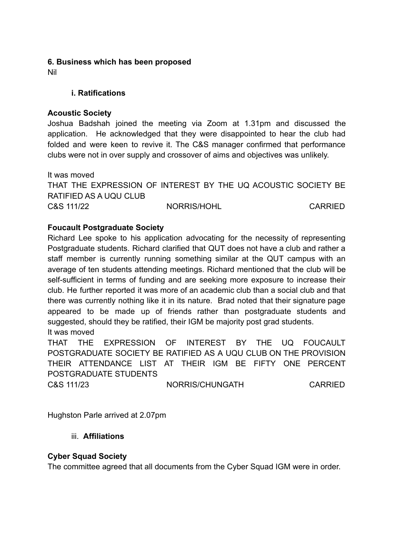### 6. Business which has been proposed

**Nil** 

### **i.** Ratifications

#### **Acoustic Society**

Joshua Badshah joined the meeting via Zoom at 1.31pm and discussed the application. He acknowledged that they were disappointed to hear the club had folded and were keen to revive it. The C&S manager confirmed that performance clubs were not in over supply and crossover of aims and objectives was unlikely.

It was moved THAT THE EXPRESSION OF INTEREST BY THE UO ACOUSTIC SOCIETY BE RATIFIED AS A UQU CLUB C&S 111/22 NORRIS/HOHL **CARRIED** 

### **Foucault Postgraduate Society**

Richard Lee spoke to his application advocating for the necessity of representing Postaraduate students. Richard clarified that QUT does not have a club and rather a staff member is currently running something similar at the QUT campus with an average of ten students attending meetings. Richard mentioned that the club will be self-sufficient in terms of funding and are seeking more exposure to increase their club. He further reported it was more of an academic club than a social club and that there was currently nothing like it in its nature. Brad noted that their signature page appeared to be made up of friends rather than postgraduate students and suggested, should they be ratified, their IGM be majority post grad students. It was moved

**THAT THE** EXPRESSION OF INTEREST BY THE UQ **FOUCAULT** POSTGRADUATE SOCIETY BE RATIFIED AS A UQU CLUB ON THE PROVISION THEIR ATTENDANCE LIST AT THEIR IGM BE FIFTY ONE PERCENT POSTGRADUATE STUDENTS

C&S 111/23

NORRIS/CHUNGATH

**CARRIED** 

Hughston Parle arrived at 2.07pm

### iii. Affiliations

### **Cyber Squad Society**

The committee agreed that all documents from the Cyber Squad IGM were in order.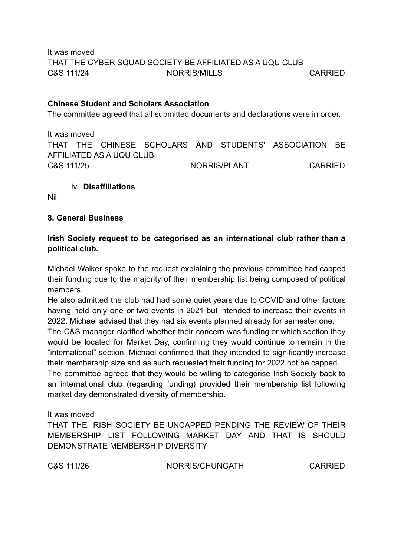It was moved THAT THE CYBER SQUAD SOCIETY BE AFFILIATED AS A UQU CLUB C&S 111/24 NORRIS/MILLS **CARRIED** 

#### **Chinese Student and Scholars Association**

The committee agreed that all submitted documents and declarations were in order.

It was moved THAT THE CHINESE SCHOLARS AND STUDENTS' ASSOCIATION BE AFFILIATED AS A UQU CLUB C&S 111/25 NORRIS/PI ANT **CARRIED** 

iv. Disaffiliations

Nil.

#### 8. General Business

### Irish Society request to be categorised as an international club rather than a political club.

Michael Walker spoke to the request explaining the previous committee had capped their funding due to the majority of their membership list being composed of political members.

He also admitted the club had had some quiet years due to COVID and other factors having held only one or two events in 2021 but intended to increase their events in 2022. Michael advised that they had six events planned already for semester one.

The C&S manager clarified whether their concern was funding or which section they would be located for Market Day, confirming they would continue to remain in the "international" section. Michael confirmed that they intended to significantly increase their membership size and as such requested their funding for 2022 not be capped.

The committee agreed that they would be willing to categorise Irish Society back to an international club (regarding funding) provided their membership list following market day demonstrated diversity of membership.

#### It was moved

THAT THE IRISH SOCIETY BE UNCAPPED PENDING THE REVIEW OF THEIR MEMBERSHIP LIST FOLLOWING MARKET DAY AND THAT IS SHOULD DEMONSTRATE MEMBERSHIP DIVERSITY

C&S 111/26

NORRIS/CHUNGATH

**CARRIED**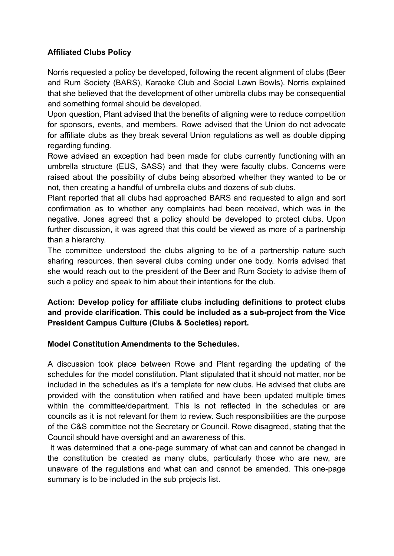# **Affiliated Clubs Policy**

Norris requested a policy be developed, following the recent alignment of clubs (Beer and Rum Society (BARS), Karaoke Club and Social Lawn Bowls). Norris explained that she believed that the development of other umbrella clubs may be consequential and something formal should be developed.

Upon question. Plant advised that the benefits of aligning were to reduce competition for sponsors, events, and members. Rowe advised that the Union do not advocate for affiliate clubs as they break several Union regulations as well as double dipping regarding funding.

Rowe advised an exception had been made for clubs currently functioning with an umbrella structure (EUS, SASS) and that they were faculty clubs. Concerns were raised about the possibility of clubs being absorbed whether they wanted to be or not, then creating a handful of umbrella clubs and dozens of sub clubs.

Plant reported that all clubs had approached BARS and requested to align and sort confirmation as to whether any complaints had been received, which was in the negative. Jones agreed that a policy should be developed to protect clubs. Upon further discussion, it was agreed that this could be viewed as more of a partnership than a hierarchy.

The committee understood the clubs aligning to be of a partnership nature such sharing resources, then several clubs coming under one body. Norris advised that she would reach out to the president of the Beer and Rum Society to advise them of such a policy and speak to him about their intentions for the club.

# Action: Develop policy for affiliate clubs including definitions to protect clubs and provide clarification. This could be included as a sub-project from the Vice President Campus Culture (Clubs & Societies) report.

### Model Constitution Amendments to the Schedules.

A discussion took place between Rowe and Plant regarding the updating of the schedules for the model constitution. Plant stipulated that it should not matter, nor be included in the schedules as it's a template for new clubs. He advised that clubs are provided with the constitution when ratified and have been updated multiple times within the committee/department. This is not reflected in the schedules or are councils as it is not relevant for them to review. Such responsibilities are the purpose of the C&S committee not the Secretary or Council. Rowe disagreed, stating that the Council should have oversight and an awareness of this.

It was determined that a one-page summary of what can and cannot be changed in the constitution be created as many clubs, particularly those who are new, are unaware of the regulations and what can and cannot be amended. This one-page summary is to be included in the sub projects list.